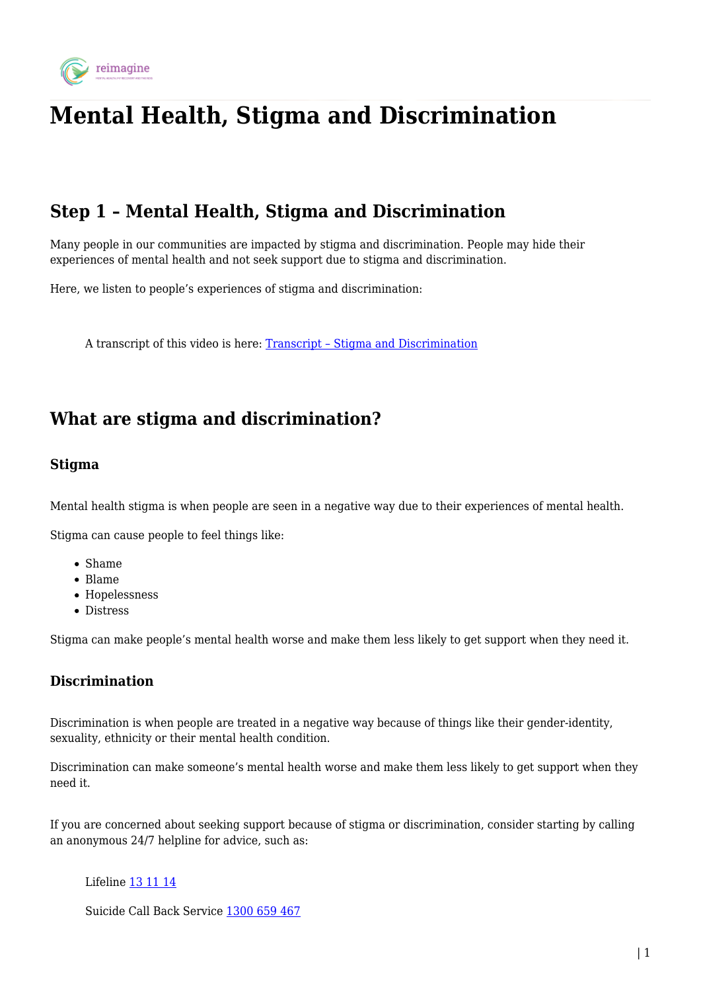

# **Mental Health, Stigma and Discrimination**

## **Step 1 – Mental Health, Stigma and Discrimination**

Many people in our communities are impacted by stigma and discrimination. People may hide their experiences of mental health and not seek support due to stigma and discrimination.

Here, we listen to people's experiences of stigma and discrimination:

A transcript of this video is here: [Transcript – Stigma and Discrimination](https://reimagine.today/wp-content/uploads/2020/05/Transcript-Stigma-Discrimination.pdf)

### **What are stigma and discrimination?**

#### **Stigma**

Mental health stigma is when people are seen in a negative way due to their experiences of mental health.

Stigma can cause people to feel things like:

- Shame
- Blame
- Hopelessness
- Distress

Stigma can make people's mental health worse and make them less likely to get support when they need it.

### **Discrimination**

Discrimination is when people are treated in a negative way because of things like their gender-identity, sexuality, ethnicity or their mental health condition.

Discrimination can make someone's mental health worse and make them less likely to get support when they need it.

If you are concerned about seeking support because of stigma or discrimination, consider starting by calling an anonymous 24/7 helpline for advice, such as:

Lifeline [13 11 14](#page--1-0)

Suicide Call Back Service [1300 659 467](#page--1-0)